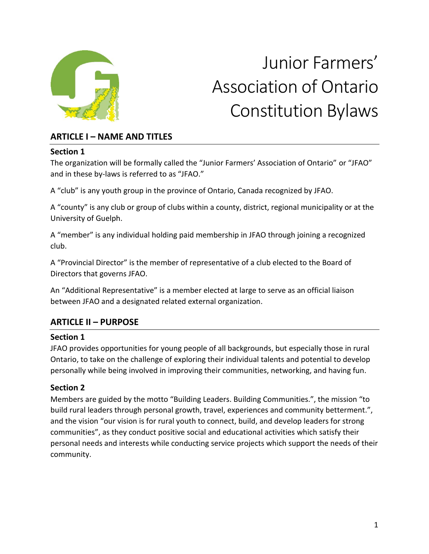

# Junior Farmers' Association of Ontario Constitution Bylaws

# **ARTICLE I – NAME AND TITLES**

#### **Section 1**

The organization will be formally called the "Junior Farmers' Association of Ontario" or "JFAO" and in these by-laws is referred to as "JFAO."

A "club" is any youth group in the province of Ontario, Canada recognized by JFAO.

A "county" is any club or group of clubs within a county, district, regional municipality or at the University of Guelph.

A "member" is any individual holding paid membership in JFAO through joining a recognized club.

A "Provincial Director" is the member of representative of a club elected to the Board of Directors that governs JFAO.

An "Additional Representative" is a member elected at large to serve as an official liaison between JFAO and a designated related external organization.

# **ARTICLE II – PURPOSE**

# **Section 1**

JFAO provides opportunities for young people of all backgrounds, but especially those in rural Ontario, to take on the challenge of exploring their individual talents and potential to develop personally while being involved in improving their communities, networking, and having fun.

# **Section 2**

Members are guided by the motto "Building Leaders. Building Communities.", the mission "to build rural leaders through personal growth, travel, experiences and community betterment.", and the vision "our vision is for rural youth to connect, build, and develop leaders for strong communities", as they conduct positive social and educational activities which satisfy their personal needs and interests while conducting service projects which support the needs of their community.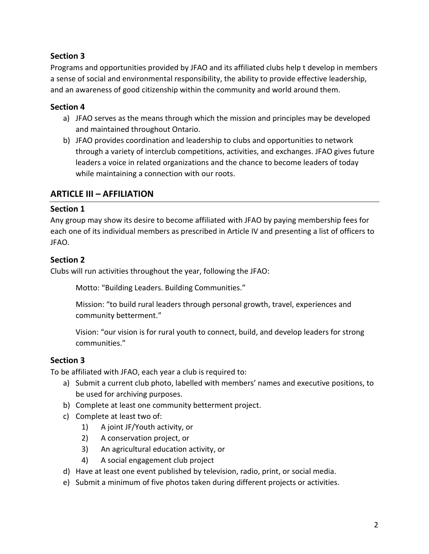Programs and opportunities provided by JFAO and its affiliated clubs help t develop in members a sense of social and environmental responsibility, the ability to provide effective leadership, and an awareness of good citizenship within the community and world around them.

#### **Section 4**

- a) JFAO serves as the means through which the mission and principles may be developed and maintained throughout Ontario.
- b) JFAO provides coordination and leadership to clubs and opportunities to network through a variety of interclub competitions, activities, and exchanges. JFAO gives future leaders a voice in related organizations and the chance to become leaders of today while maintaining a connection with our roots.

# **ARTICLE III – AFFILIATION**

#### **Section 1**

Any group may show its desire to become affiliated with JFAO by paying membership fees for each one of its individual members as prescribed in Article IV and presenting a list of officers to JFAO.

# **Section 2**

Clubs will run activities throughout the year, following the JFAO:

Motto: "Building Leaders. Building Communities."

Mission: "to build rural leaders through personal growth, travel, experiences and community betterment."

Vision: "our vision is for rural youth to connect, build, and develop leaders for strong communities."

#### **Section 3**

To be affiliated with JFAO, each year a club is required to:

- a) Submit a current club photo, labelled with members' names and executive positions, to be used for archiving purposes.
- b) Complete at least one community betterment project.
- c) Complete at least two of:
	- 1) A joint JF/Youth activity, or
	- 2) A conservation project, or
	- 3) An agricultural education activity, or
	- 4) A social engagement club project
- d) Have at least one event published by television, radio, print, or social media.
- e) Submit a minimum of five photos taken during different projects or activities.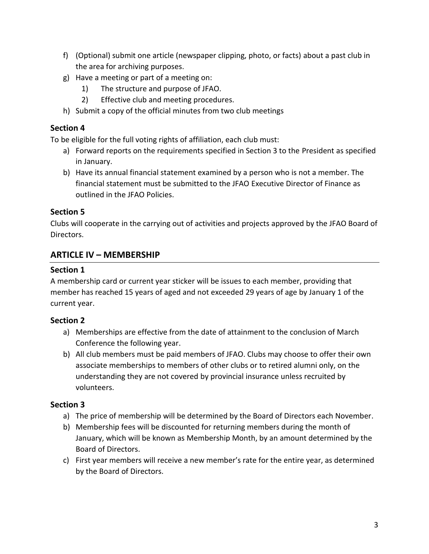- f) (Optional) submit one article (newspaper clipping, photo, or facts) about a past club in the area for archiving purposes.
- g) Have a meeting or part of a meeting on:
	- 1) The structure and purpose of JFAO.
	- 2) Effective club and meeting procedures.
- h) Submit a copy of the official minutes from two club meetings

To be eligible for the full voting rights of affiliation, each club must:

- a) Forward reports on the requirements specified in Section 3 to the President as specified in January.
- b) Have its annual financial statement examined by a person who is not a member. The financial statement must be submitted to the JFAO Executive Director of Finance as outlined in the JFAO Policies.

# **Section 5**

Clubs will cooperate in the carrying out of activities and projects approved by the JFAO Board of Directors.

# **ARTICLE IV – MEMBERSHIP**

# **Section 1**

A membership card or current year sticker will be issues to each member, providing that member has reached 15 years of aged and not exceeded 29 years of age by January 1 of the current year.

# **Section 2**

- a) Memberships are effective from the date of attainment to the conclusion of March Conference the following year.
- b) All club members must be paid members of JFAO. Clubs may choose to offer their own associate memberships to members of other clubs or to retired alumni only, on the understanding they are not covered by provincial insurance unless recruited by volunteers.

- a) The price of membership will be determined by the Board of Directors each November.
- b) Membership fees will be discounted for returning members during the month of January, which will be known as Membership Month, by an amount determined by the Board of Directors.
- c) First year members will receive a new member's rate for the entire year, as determined by the Board of Directors.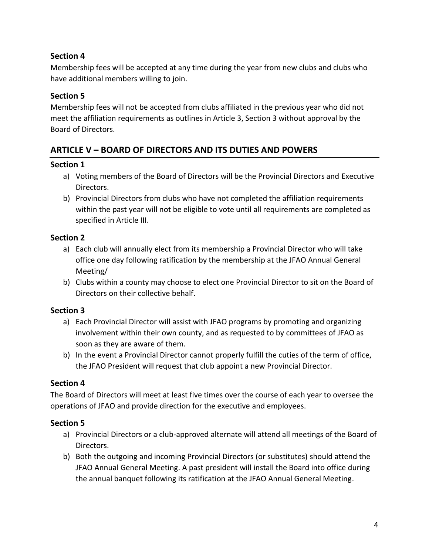Membership fees will be accepted at any time during the year from new clubs and clubs who have additional members willing to join.

# **Section 5**

Membership fees will not be accepted from clubs affiliated in the previous year who did not meet the affiliation requirements as outlines in Article 3, Section 3 without approval by the Board of Directors.

# **ARTICLE V – BOARD OF DIRECTORS AND ITS DUTIES AND POWERS**

#### **Section 1**

- a) Voting members of the Board of Directors will be the Provincial Directors and Executive Directors.
- b) Provincial Directors from clubs who have not completed the affiliation requirements within the past year will not be eligible to vote until all requirements are completed as specified in Article III.

# **Section 2**

- a) Each club will annually elect from its membership a Provincial Director who will take office one day following ratification by the membership at the JFAO Annual General Meeting/
- b) Clubs within a county may choose to elect one Provincial Director to sit on the Board of Directors on their collective behalf.

# **Section 3**

- a) Each Provincial Director will assist with JFAO programs by promoting and organizing involvement within their own county, and as requested to by committees of JFAO as soon as they are aware of them.
- b) In the event a Provincial Director cannot properly fulfill the cuties of the term of office, the JFAO President will request that club appoint a new Provincial Director.

# **Section 4**

The Board of Directors will meet at least five times over the course of each year to oversee the operations of JFAO and provide direction for the executive and employees.

- a) Provincial Directors or a club-approved alternate will attend all meetings of the Board of Directors.
- b) Both the outgoing and incoming Provincial Directors (or substitutes) should attend the JFAO Annual General Meeting. A past president will install the Board into office during the annual banquet following its ratification at the JFAO Annual General Meeting.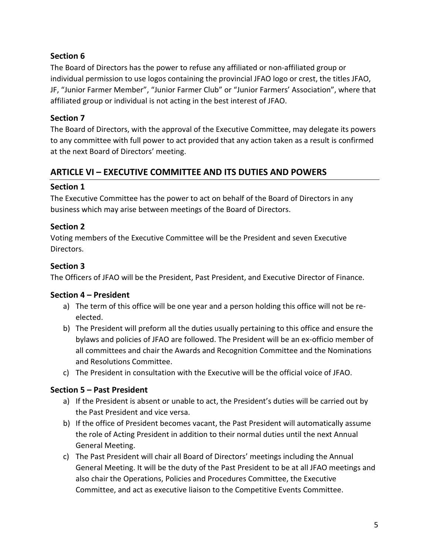The Board of Directors has the power to refuse any affiliated or non-affiliated group or individual permission to use logos containing the provincial JFAO logo or crest, the titles JFAO, JF, "Junior Farmer Member", "Junior Farmer Club" or "Junior Farmers' Association", where that affiliated group or individual is not acting in the best interest of JFAO.

# **Section 7**

The Board of Directors, with the approval of the Executive Committee, may delegate its powers to any committee with full power to act provided that any action taken as a result is confirmed at the next Board of Directors' meeting.

# **ARTICLE VI – EXECUTIVE COMMITTEE AND ITS DUTIES AND POWERS**

# **Section 1**

The Executive Committee has the power to act on behalf of the Board of Directors in any business which may arise between meetings of the Board of Directors.

# **Section 2**

Voting members of the Executive Committee will be the President and seven Executive Directors.

# **Section 3**

The Officers of JFAO will be the President, Past President, and Executive Director of Finance.

# **Section 4 – President**

- a) The term of this office will be one year and a person holding this office will not be reelected.
- b) The President will preform all the duties usually pertaining to this office and ensure the bylaws and policies of JFAO are followed. The President will be an ex-officio member of all committees and chair the Awards and Recognition Committee and the Nominations and Resolutions Committee.
- c) The President in consultation with the Executive will be the official voice of JFAO.

# **Section 5 – Past President**

- a) If the President is absent or unable to act, the President's duties will be carried out by the Past President and vice versa.
- b) If the office of President becomes vacant, the Past President will automatically assume the role of Acting President in addition to their normal duties until the next Annual General Meeting.
- c) The Past President will chair all Board of Directors' meetings including the Annual General Meeting. It will be the duty of the Past President to be at all JFAO meetings and also chair the Operations, Policies and Procedures Committee, the Executive Committee, and act as executive liaison to the Competitive Events Committee.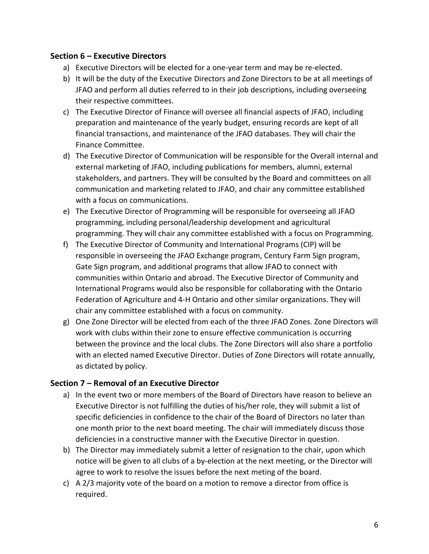#### **Section 6 – Executive Directors**

- a) Executive Directors will be elected for a one-year term and may be re-elected.
- b) It will be the duty of the Executive Directors and Zone Directors to be at all meetings of JFAO and perform all duties referred to in their job descriptions, including overseeing their respective committees.
- c) The Executive Director of Finance will oversee all financial aspects of JFAO, including preparation and maintenance of the yearly budget, ensuring records are kept of all financial transactions, and maintenance of the JFAO databases. They will chair the Finance Committee.
- d) The Executive Director of Communication will be responsible for the Overall internal and external marketing of JFAO, including publications for members, alumni, external stakeholders, and partners. They will be consulted by the Board and committees on all communication and marketing related to JFAO, and chair any committee established with a focus on communications.
- e) The Executive Director of Programming will be responsible for overseeing all JFAO programming, including personal/leadership development and agricultural programming. They will chair any committee established with a focus on Programming.
- f) The Executive Director of Community and International Programs (CIP) will be responsible in overseeing the JFAO Exchange program, Century Farm Sign program, Gate Sign program, and additional programs that allow JFAO to connect with communities within Ontario and abroad. The Executive Director of Community and International Programs would also be responsible for collaborating with the Ontario Federation of Agriculture and 4-H Ontario and other similar organizations. They will chair any committee established with a focus on community.
- g) One Zone Director will be elected from each of the three JFAO Zones. Zone Directors will work with clubs within their zone to ensure effective communication is occurring between the province and the local clubs. The Zone Directors will also share a portfolio with an elected named Executive Director. Duties of Zone Directors will rotate annually, as dictated by policy.

#### **Section 7 – Removal of an Executive Director**

- a) In the event two or more members of the Board of Directors have reason to believe an Executive Director is not fulfilling the duties of his/her role, they will submit a list of specific deficiencies in confidence to the chair of the Board of Directors no later than one month prior to the next board meeting. The chair will immediately discuss those deficiencies in a constructive manner with the Executive Director in question.
- b) The Director may immediately submit a letter of resignation to the chair, upon which notice will be given to all clubs of a by-election at the next meeting, or the Director will agree to work to resolve the issues before the next meting of the board.
- c) A 2/3 majority vote of the board on a motion to remove a director from office is required.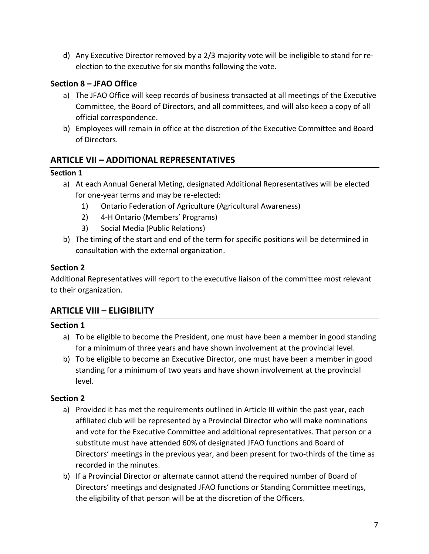d) Any Executive Director removed by a 2/3 majority vote will be ineligible to stand for reelection to the executive for six months following the vote.

# **Section 8 – JFAO Office**

- a) The JFAO Office will keep records of business transacted at all meetings of the Executive Committee, the Board of Directors, and all committees, and will also keep a copy of all official correspondence.
- b) Employees will remain in office at the discretion of the Executive Committee and Board of Directors.

# **ARTICLE VII – ADDITIONAL REPRESENTATIVES**

#### **Section 1**

- a) At each Annual General Meting, designated Additional Representatives will be elected for one-year terms and may be re-elected:
	- 1) Ontario Federation of Agriculture (Agricultural Awareness)
	- 2) 4-H Ontario (Members' Programs)
	- 3) Social Media (Public Relations)
- b) The timing of the start and end of the term for specific positions will be determined in consultation with the external organization.

#### **Section 2**

Additional Representatives will report to the executive liaison of the committee most relevant to their organization.

# **ARTICLE VIII – ELIGIBILITY**

#### **Section 1**

- a) To be eligible to become the President, one must have been a member in good standing for a minimum of three years and have shown involvement at the provincial level.
- b) To be eligible to become an Executive Director, one must have been a member in good standing for a minimum of two years and have shown involvement at the provincial level.

- a) Provided it has met the requirements outlined in Article III within the past year, each affiliated club will be represented by a Provincial Director who will make nominations and vote for the Executive Committee and additional representatives. That person or a substitute must have attended 60% of designated JFAO functions and Board of Directors' meetings in the previous year, and been present for two-thirds of the time as recorded in the minutes.
- b) If a Provincial Director or alternate cannot attend the required number of Board of Directors' meetings and designated JFAO functions or Standing Committee meetings, the eligibility of that person will be at the discretion of the Officers.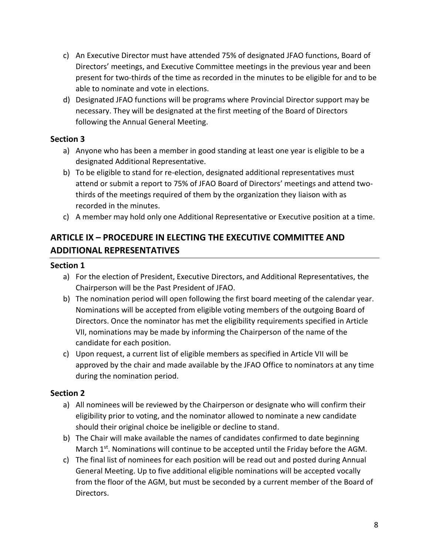- c) An Executive Director must have attended 75% of designated JFAO functions, Board of Directors' meetings, and Executive Committee meetings in the previous year and been present for two-thirds of the time as recorded in the minutes to be eligible for and to be able to nominate and vote in elections.
- d) Designated JFAO functions will be programs where Provincial Director support may be necessary. They will be designated at the first meeting of the Board of Directors following the Annual General Meeting.

- a) Anyone who has been a member in good standing at least one year is eligible to be a designated Additional Representative.
- b) To be eligible to stand for re-election, designated additional representatives must attend or submit a report to 75% of JFAO Board of Directors' meetings and attend twothirds of the meetings required of them by the organization they liaison with as recorded in the minutes.
- c) A member may hold only one Additional Representative or Executive position at a time.

# **ARTICLE IX – PROCEDURE IN ELECTING THE EXECUTIVE COMMITTEE AND ADDITIONAL REPRESENTATIVES**

#### **Section 1**

- a) For the election of President, Executive Directors, and Additional Representatives, the Chairperson will be the Past President of JFAO.
- b) The nomination period will open following the first board meeting of the calendar year. Nominations will be accepted from eligible voting members of the outgoing Board of Directors. Once the nominator has met the eligibility requirements specified in Article VII, nominations may be made by informing the Chairperson of the name of the candidate for each position.
- c) Upon request, a current list of eligible members as specified in Article VII will be approved by the chair and made available by the JFAO Office to nominators at any time during the nomination period.

- a) All nominees will be reviewed by the Chairperson or designate who will confirm their eligibility prior to voting, and the nominator allowed to nominate a new candidate should their original choice be ineligible or decline to stand.
- b) The Chair will make available the names of candidates confirmed to date beginning March 1<sup>st</sup>. Nominations will continue to be accepted until the Friday before the AGM.
- c) The final list of nominees for each position will be read out and posted during Annual General Meeting. Up to five additional eligible nominations will be accepted vocally from the floor of the AGM, but must be seconded by a current member of the Board of Directors.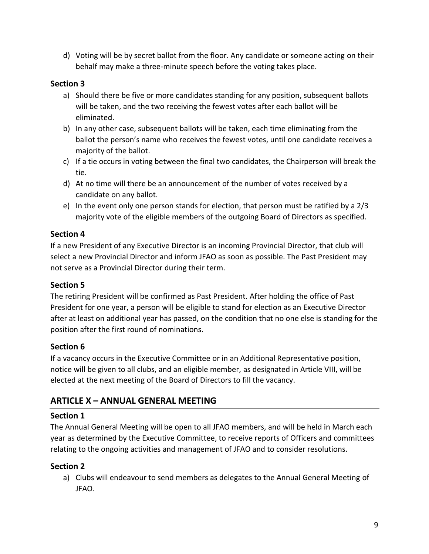d) Voting will be by secret ballot from the floor. Any candidate or someone acting on their behalf may make a three-minute speech before the voting takes place.

# **Section 3**

- a) Should there be five or more candidates standing for any position, subsequent ballots will be taken, and the two receiving the fewest votes after each ballot will be eliminated.
- b) In any other case, subsequent ballots will be taken, each time eliminating from the ballot the person's name who receives the fewest votes, until one candidate receives a majority of the ballot.
- c) If a tie occurs in voting between the final two candidates, the Chairperson will break the tie.
- d) At no time will there be an announcement of the number of votes received by a candidate on any ballot.
- e) In the event only one person stands for election, that person must be ratified by a 2/3 majority vote of the eligible members of the outgoing Board of Directors as specified.

# **Section 4**

If a new President of any Executive Director is an incoming Provincial Director, that club will select a new Provincial Director and inform JFAO as soon as possible. The Past President may not serve as a Provincial Director during their term.

# **Section 5**

The retiring President will be confirmed as Past President. After holding the office of Past President for one year, a person will be eligible to stand for election as an Executive Director after at least on additional year has passed, on the condition that no one else is standing for the position after the first round of nominations.

# **Section 6**

If a vacancy occurs in the Executive Committee or in an Additional Representative position, notice will be given to all clubs, and an eligible member, as designated in Article VIII, will be elected at the next meeting of the Board of Directors to fill the vacancy.

# **ARTICLE X – ANNUAL GENERAL MEETING**

# **Section 1**

The Annual General Meeting will be open to all JFAO members, and will be held in March each year as determined by the Executive Committee, to receive reports of Officers and committees relating to the ongoing activities and management of JFAO and to consider resolutions.

# **Section 2**

a) Clubs will endeavour to send members as delegates to the Annual General Meeting of JFAO.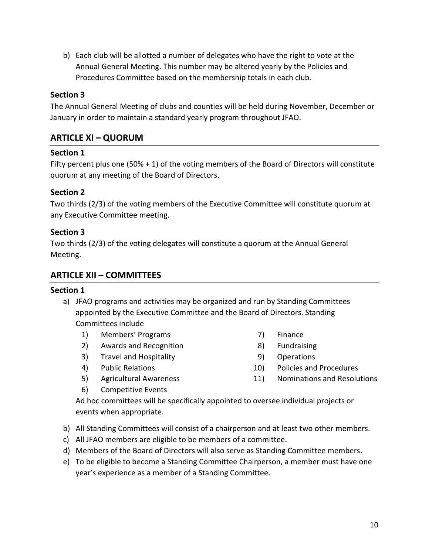b) Each club will be allotted a number of delegates who have the right to vote at the Annual General Meeting. This number may be altered yearly by the Policies and Procedures Committee based on the membership totals in each club.

#### **Section 3**

The Annual General Meeting of clubs and counties will be held during November, December or January in order to maintain a standard yearly program throughout JFAO.

# **ARTICLE XI – QUORUM**

#### **Section 1**

Fifty percent plus one (50% + 1) of the voting members of the Board of Directors will constitute quorum at any meeting of the Board of Directors.

#### **Section 2**

Two thirds (2/3) of the voting members of the Executive Committee will constitute quorum at any Executive Committee meeting.

#### **Section 3**

Two thirds (2/3) of the voting delegates will constitute a quorum at the Annual General Meeting.

#### **ARTICLE XII – COMMITTEES**

#### **Section 1**

- a) JFAO programs and activities may be organized and run by Standing Committees appointed by the Executive Committee and the Board of Directors. Standing Committees include
	- 1) Members' Programs
	- 2) Awards and Recognition
	- 3) Travel and Hospitality
	- 4) Public Relations
	- 5) Agricultural Awareness
	- 6) Competitive Events
- 7) Finance
- 8) Fundraising
- 9) Operations
- 10) Policies and Procedures
- 11) Nominations and Resolutions

Ad hoc committees will be specifically appointed to oversee individual projects or events when appropriate.

- b) All Standing Committees will consist of a chairperson and at least two other members.
- c) All JFAO members are eligible to be members of a committee.
- d) Members of the Board of Directors will also serve as Standing Committee members.
- e) To be eligible to become a Standing Committee Chairperson, a member must have one year's experience as a member of a Standing Committee.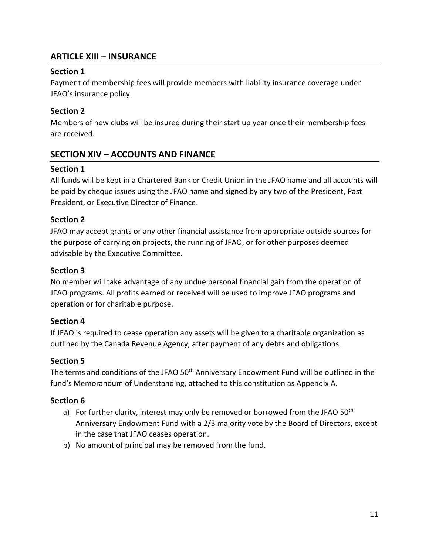# **ARTICLE XIII – INSURANCE**

#### **Section 1**

Payment of membership fees will provide members with liability insurance coverage under JFAO's insurance policy.

# **Section 2**

Members of new clubs will be insured during their start up year once their membership fees are received.

# **SECTION XIV – ACCOUNTS AND FINANCE**

# **Section 1**

All funds will be kept in a Chartered Bank or Credit Union in the JFAO name and all accounts will be paid by cheque issues using the JFAO name and signed by any two of the President, Past President, or Executive Director of Finance.

# **Section 2**

JFAO may accept grants or any other financial assistance from appropriate outside sources for the purpose of carrying on projects, the running of JFAO, or for other purposes deemed advisable by the Executive Committee.

# **Section 3**

No member will take advantage of any undue personal financial gain from the operation of JFAO programs. All profits earned or received will be used to improve JFAO programs and operation or for charitable purpose.

# **Section 4**

If JFAO is required to cease operation any assets will be given to a charitable organization as outlined by the Canada Revenue Agency, after payment of any debts and obligations.

# **Section 5**

The terms and conditions of the JFAO 50<sup>th</sup> Anniversary Endowment Fund will be outlined in the fund's Memorandum of Understanding, attached to this constitution as Appendix A.

- a) For further clarity, interest may only be removed or borrowed from the JFAO 50<sup>th</sup> Anniversary Endowment Fund with a 2/3 majority vote by the Board of Directors, except in the case that JFAO ceases operation.
- b) No amount of principal may be removed from the fund.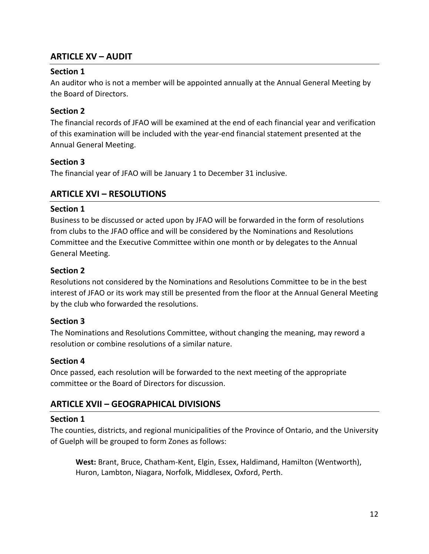# **ARTICLE XV – AUDIT**

#### **Section 1**

An auditor who is not a member will be appointed annually at the Annual General Meeting by the Board of Directors.

# **Section 2**

The financial records of JFAO will be examined at the end of each financial year and verification of this examination will be included with the year-end financial statement presented at the Annual General Meeting.

#### **Section 3**

The financial year of JFAO will be January 1 to December 31 inclusive.

# **ARTICLE XVI – RESOLUTIONS**

#### **Section 1**

Business to be discussed or acted upon by JFAO will be forwarded in the form of resolutions from clubs to the JFAO office and will be considered by the Nominations and Resolutions Committee and the Executive Committee within one month or by delegates to the Annual General Meeting.

#### **Section 2**

Resolutions not considered by the Nominations and Resolutions Committee to be in the best interest of JFAO or its work may still be presented from the floor at the Annual General Meeting by the club who forwarded the resolutions.

# **Section 3**

The Nominations and Resolutions Committee, without changing the meaning, may reword a resolution or combine resolutions of a similar nature.

#### **Section 4**

Once passed, each resolution will be forwarded to the next meeting of the appropriate committee or the Board of Directors for discussion.

# **ARTICLE XVII – GEOGRAPHICAL DIVISIONS**

#### **Section 1**

The counties, districts, and regional municipalities of the Province of Ontario, and the University of Guelph will be grouped to form Zones as follows:

**West:** Brant, Bruce, Chatham-Kent, Elgin, Essex, Haldimand, Hamilton (Wentworth), Huron, Lambton, Niagara, Norfolk, Middlesex, Oxford, Perth.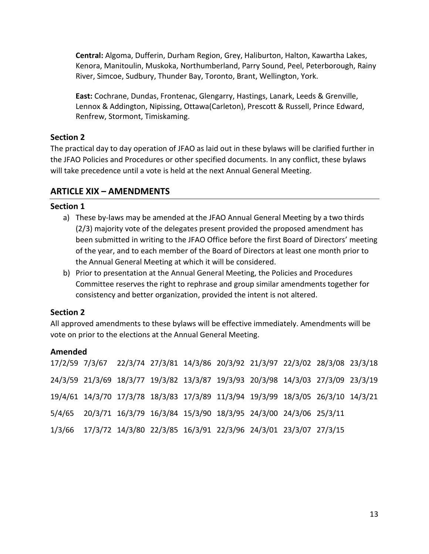**Central:** Algoma, Dufferin, Durham Region, Grey, Haliburton, Halton, Kawartha Lakes, Kenora, Manitoulin, Muskoka, Northumberland, Parry Sound, Peel, Peterborough, Rainy River, Simcoe, Sudbury, Thunder Bay, Toronto, Brant, Wellington, York.

**East:** Cochrane, Dundas, Frontenac, Glengarry, Hastings, Lanark, Leeds & Grenville, Lennox & Addington, Nipissing, Ottawa(Carleton), Prescott & Russell, Prince Edward, Renfrew, Stormont, Timiskaming.

#### **Section 2**

The practical day to day operation of JFAO as laid out in these bylaws will be clarified further in the JFAO Policies and Procedures or other specified documents. In any conflict, these bylaws will take precedence until a vote is held at the next Annual General Meeting.

# **ARTICLE XIX – AMENDMENTS**

#### **Section 1**

- a) These by-laws may be amended at the JFAO Annual General Meeting by a two thirds (2/3) majority vote of the delegates present provided the proposed amendment has been submitted in writing to the JFAO Office before the first Board of Directors' meeting of the year, and to each member of the Board of Directors at least one month prior to the Annual General Meeting at which it will be considered.
- b) Prior to presentation at the Annual General Meeting, the Policies and Procedures Committee reserves the right to rephrase and group similar amendments together for consistency and better organization, provided the intent is not altered.

# **Section 2**

All approved amendments to these bylaws will be effective immediately. Amendments will be vote on prior to the elections at the Annual General Meeting.

# **Amended**

17/2/59 7/3/67 22/3/74 27/3/81 14/3/86 20/3/92 21/3/97 22/3/02 28/3/08 23/3/18 24/3/59 21/3/69 18/3/77 19/3/82 13/3/87 19/3/93 20/3/98 14/3/03 27/3/09 23/3/19 19/4/61 14/3/70 17/3/78 18/3/83 17/3/89 11/3/94 19/3/99 18/3/05 26/3/10 14/3/215/4/65 20/3/71 16/3/79 16/3/84 15/3/90 18/3/95 24/3/00 24/3/06 25/3/11 1/3/66 17/3/72 14/3/80 22/3/85 16/3/91 22/3/96 24/3/01 23/3/07 27/3/15